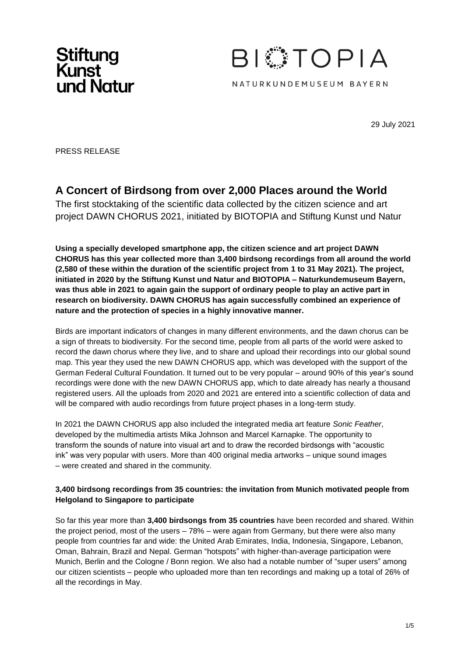



29 July 2021

PRESS RELEASE

# **A Concert of Birdsong from over 2,000 Places around the World**

The first stocktaking of the scientific data collected by the citizen science and art project DAWN CHORUS 2021, initiated by BIOTOPIA and Stiftung Kunst und Natur

**Using a specially developed smartphone app, the citizen science and art project DAWN CHORUS has this year collected more than 3,400 birdsong recordings from all around the world (2,580 of these within the duration of the scientific project from 1 to 31 May 2021). The project, initiated in 2020 by the Stiftung Kunst und Natur and BIOTOPIA – Naturkundemuseum Bayern, was thus able in 2021 to again gain the support of ordinary people to play an active part in research on biodiversity. DAWN CHORUS has again successfully combined an experience of nature and the protection of species in a highly innovative manner.**

Birds are important indicators of changes in many different environments, and the dawn chorus can be a sign of threats to biodiversity. For the second time, people from all parts of the world were asked to record the dawn chorus where they live, and to share and upload their recordings into our global sound map. This year they used the new DAWN CHORUS app, which was developed with the support of the German Federal Cultural Foundation. It turned out to be very popular – around 90% of this year's sound recordings were done with the new DAWN CHORUS app, which to date already has nearly a thousand registered users. All the uploads from 2020 and 2021 are entered into a scientific collection of data and will be compared with audio recordings from future project phases in a long-term study.

In 2021 the DAWN CHORUS app also included the integrated media art feature *Sonic Feather*, developed by the multimedia artists Mika Johnson and Marcel Karnapke. The opportunity to transform the sounds of nature into visual art and to draw the recorded birdsongs with "acoustic ink" was very popular with users. More than 400 original media artworks – unique sound images – were created and shared in the community.

## **3,400 birdsong recordings from 35 countries: the invitation from Munich motivated people from Helgoland to Singapore to participate**

So far this year more than **3,400 birdsongs from 35 countries** have been recorded and shared. Within the project period, most of the users – 78% – were again from Germany, but there were also many people from countries far and wide: the United Arab Emirates, India, Indonesia, Singapore, Lebanon, Oman, Bahrain, Brazil and Nepal. German "hotspots" with higher-than-average participation were Munich, Berlin and the Cologne / Bonn region. We also had a notable number of "super users" among our citizen scientists – people who uploaded more than ten recordings and making up a total of 26% of all the recordings in May.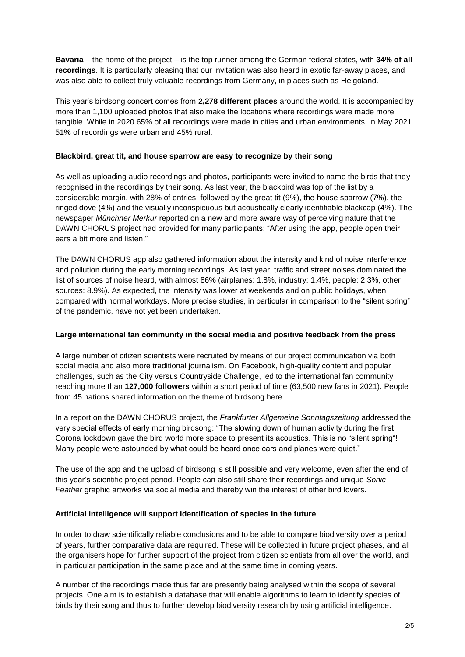**Bavaria** – the home of the project – is the top runner among the German federal states, with **34% of all recordings**. It is particularly pleasing that our invitation was also heard in exotic far-away places, and was also able to collect truly valuable recordings from Germany, in places such as Helgoland.

This year's birdsong concert comes from **2,278 different places** around the world. It is accompanied by more than 1,100 uploaded photos that also make the locations where recordings were made more tangible. While in 2020 65% of all recordings were made in cities and urban environments, in May 2021 51% of recordings were urban and 45% rural.

# **Blackbird, great tit, and house sparrow are easy to recognize by their song**

As well as uploading audio recordings and photos, participants were invited to name the birds that they recognised in the recordings by their song. As last year, the blackbird was top of the list by a considerable margin, with 28% of entries, followed by the great tit (9%), the house sparrow (7%), the ringed dove (4%) and the visually inconspicuous but acoustically clearly identifiable blackcap (4%). The newspaper *Münchner Merkur* reported on a new and more aware way of perceiving nature that the DAWN CHORUS project had provided for many participants: "After using the app, people open their ears a bit more and listen."

The DAWN CHORUS app also gathered information about the intensity and kind of noise interference and pollution during the early morning recordings. As last year, traffic and street noises dominated the list of sources of noise heard, with almost 86% (airplanes: 1.8%, industry: 1.4%, people: 2.3%, other sources: 8.9%). As expected, the intensity was lower at weekends and on public holidays, when compared with normal workdays. More precise studies, in particular in comparison to the "silent spring" of the pandemic, have not yet been undertaken.

#### **Large international fan community in the social media and positive feedback from the press**

A large number of citizen scientists were recruited by means of our project communication via both social media and also more traditional journalism. On Facebook, high-quality content and popular challenges, such as the City versus Countryside Challenge, led to the international fan community reaching more than **127,000 followers** within a short period of time (63,500 new fans in 2021). People from 45 nations shared information on the theme of birdsong here.

In a report on the DAWN CHORUS project, the *Frankfurter Allgemeine Sonntagszeitung* addressed the very special effects of early morning birdsong: "The slowing down of human activity during the first Corona lockdown gave the bird world more space to present its acoustics. This is no "silent spring"! Many people were astounded by what could be heard once cars and planes were quiet."

The use of the app and the upload of birdsong is still possible and very welcome, even after the end of this year's scientific project period. People can also still share their recordings and unique *Sonic Feather* graphic artworks via social media and thereby win the interest of other bird lovers.

#### **Artificial intelligence will support identification of species in the future**

In order to draw scientifically reliable conclusions and to be able to compare biodiversity over a period of years, further comparative data are required. These will be collected in future project phases, and all the organisers hope for further support of the project from citizen scientists from all over the world, and in particular participation in the same place and at the same time in coming years.

A number of the recordings made thus far are presently being analysed within the scope of several projects. One aim is to establish a database that will enable algorithms to learn to identify species of birds by their song and thus to further develop biodiversity research by using artificial intelligence.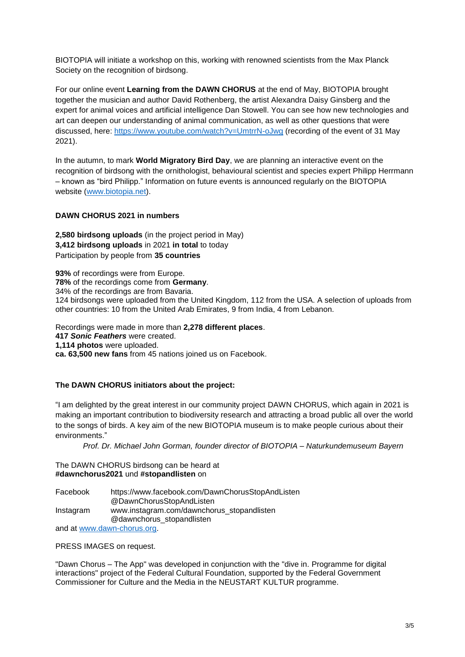BIOTOPIA will initiate a workshop on this, working with renowned scientists from the Max Planck Society on the recognition of birdsong.

For our online event **Learning from the DAWN CHORUS** at the end of May, BIOTOPIA brought together the musician and author David Rothenberg, the artist Alexandra Daisy Ginsberg and the expert for animal voices and artificial intelligence Dan Stowell. You can see how new technologies and art can deepen our understanding of animal communication, as well as other questions that were discussed, here:<https://www.youtube.com/watch?v=UmtrrN-oJwg> (recording of the event of 31 May 2021).

In the autumn, to mark **World Migratory Bird Day**, we are planning an interactive event on the recognition of birdsong with the ornithologist, behavioural scientist and species expert Philipp Herrmann – known as "bird Philipp." Information on future events is announced regularly on the BIOTOPIA website [\(www.biotopia.net\)](http://www.biotopia.net/).

## **DAWN CHORUS 2021 in numbers**

**2,580 birdsong uploads** (in the project period in May) **3,412 birdsong uploads** in 2021 **in total** to today Participation by people from **35 countries**

**93%** of recordings were from Europe. **78%** of the recordings come from **Germany**. 34% of the recordings are from Bavaria. 124 birdsongs were uploaded from the United Kingdom, 112 from the USA. A selection of uploads from other countries: 10 from the United Arab Emirates, 9 from India, 4 from Lebanon.

Recordings were made in more than **2,278 different places**. **417** *Sonic Feathers* were created. **1,114 photos** were uploaded. **ca. 63,500 new fans** from 45 nations joined us on Facebook.

# **The DAWN CHORUS initiators about the project:**

"I am delighted by the great interest in our community project DAWN CHORUS, which again in 2021 is making an important contribution to biodiversity research and attracting a broad public all over the world to the songs of birds. A key aim of the new BIOTOPIA museum is to make people curious about their environments."

*Prof. Dr. Michael John Gorman, founder director of BIOTOPIA – Naturkundemuseum Bayern*

#### The DAWN CHORUS birdsong can be heard at **#dawnchorus2021** und **#stopandlisten** on

| Facebook  | https://www.facebook.com/DawnChorusStopAndListen |
|-----------|--------------------------------------------------|
|           | @DawnChorusStopAndListen                         |
| Instagram | www.instagram.com/dawnchorus_stopandlisten       |
|           | @dawnchorus_stopandlisten                        |
|           |                                                  |

and at [www.dawn-chorus.org.](http://www.dawn-chorus.org/)

#### PRESS IMAGES on request.

"Dawn Chorus – The App" was developed in conjunction with the "dive in. Programme for digital interactions" project of the Federal Cultural Foundation, supported by the Federal Government Commissioner for Culture and the Media in the NEUSTART KULTUR programme.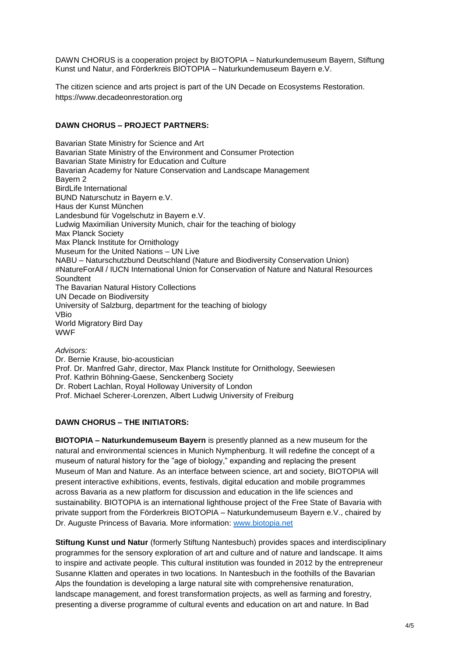DAWN CHORUS is a cooperation project by BIOTOPIA – Naturkundemuseum Bayern, Stiftung Kunst und Natur, and Förderkreis BIOTOPIA – Naturkundemuseum Bayern e.V.

The citizen science and arts project is part of the UN Decade on Ecosystems Restoration. https://www.decadeonrestoration.org

## **DAWN CHORUS – PROJECT PARTNERS:**

Bavarian State Ministry for Science and Art Bavarian State Ministry of the Environment and Consumer Protection Bavarian State Ministry for Education and Culture Bavarian Academy for Nature Conservation and Landscape Management Bayern 2 BirdLife International BUND Naturschutz in Bayern e.V. Haus der Kunst München Landesbund für Vogelschutz in Bayern e.V. Ludwig Maximilian University Munich, chair for the teaching of biology Max Planck Society Max Planck Institute for Ornithology Museum for the United Nations – UN Live NABU – Naturschutzbund Deutschland (Nature and Biodiversity Conservation Union) #NatureForAll / IUCN International Union for Conservation of Nature and Natural Resources **Soundtent** The Bavarian Natural History Collections UN Decade on Biodiversity University of Salzburg, department for the teaching of biology VBio World Migratory Bird Day WWF

*Advisors:*  Dr. Bernie Krause, bio-acoustician Prof. Dr. Manfred Gahr, director, Max Planck Institute for Ornithology, Seewiesen Prof. Kathrin Böhning-Gaese, Senckenberg Society Dr. Robert Lachlan, Royal Holloway University of London Prof. Michael Scherer-Lorenzen, Albert Ludwig University of Freiburg

# **DAWN CHORUS – THE INITIATORS:**

**BIOTOPIA – Naturkundemuseum Bayern** is presently planned as a new museum for the natural and environmental sciences in Munich Nymphenburg. It will redefine the concept of a museum of natural history for the "age of biology," expanding and replacing the present Museum of Man and Nature. As an interface between science, art and society, BIOTOPIA will present interactive exhibitions, events, festivals, digital education and mobile programmes across Bavaria as a new platform for discussion and education in the life sciences and sustainability. BIOTOPIA is an international lighthouse project of the Free State of Bavaria with private support from the Förderkreis BIOTOPIA – Naturkundemuseum Bayern e.V., chaired by Dr. Auguste Princess of Bavaria. More information: [www.biotopia.net](http://www.biotopia.net/)

**Stiftung Kunst und Natur** (formerly Stiftung Nantesbuch) provides spaces and interdisciplinary programmes for the sensory exploration of art and culture and of nature and landscape. It aims to inspire and activate people. This cultural institution was founded in 2012 by the entrepreneur Susanne Klatten and operates in two locations. In Nantesbuch in the foothills of the Bavarian Alps the foundation is developing a large natural site with comprehensive renaturation, landscape management, and forest transformation projects, as well as farming and forestry, presenting a diverse programme of cultural events and education on art and nature. In Bad